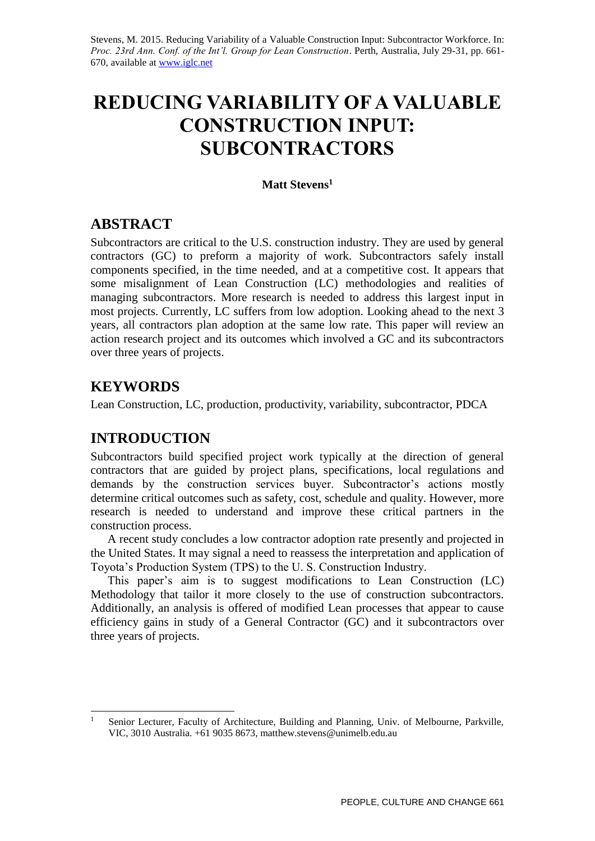Stevens, M. 2015. Reducing Variability of a Valuable Construction Input: Subcontractor Workforce. In: *Proc. 23rd Ann. Conf. of the Int'l. Group for Lean Construction*. Perth, Australia, July 29-31, pp. 661- 670, available at [www.iglc.net](http://www.iglc.net/)

# **REDUCING VARIABILITY OF A VALUABLE CONSTRUCTION INPUT: SUBCONTRACTORS**

### **Matt Stevens<sup>1</sup>**

# **ABSTRACT**

Subcontractors are critical to the U.S. construction industry. They are used by general contractors (GC) to preform a majority of work. Subcontractors safely install components specified, in the time needed, and at a competitive cost. It appears that some misalignment of Lean Construction (LC) methodologies and realities of managing subcontractors. More research is needed to address this largest input in most projects. Currently, LC suffers from low adoption. Looking ahead to the next 3 years, all contractors plan adoption at the same low rate. This paper will review an action research project and its outcomes which involved a GC and its subcontractors over three years of projects.

# **KEYWORDS**

Lean Construction, LC, production, productivity, variability, subcontractor, PDCA

# **INTRODUCTION**

Subcontractors build specified project work typically at the direction of general contractors that are guided by project plans, specifications, local regulations and demands by the construction services buyer. Subcontractor's actions mostly determine critical outcomes such as safety, cost, schedule and quality. However, more research is needed to understand and improve these critical partners in the construction process.

A recent study concludes a low contractor adoption rate presently and projected in the United States. It may signal a need to reassess the interpretation and application of Toyota's Production System (TPS) to the U. S. Construction Industry.

This paper's aim is to suggest modifications to Lean Construction (LC) Methodology that tailor it more closely to the use of construction subcontractors. Additionally, an analysis is offered of modified Lean processes that appear to cause efficiency gains in study of a General Contractor (GC) and it subcontractors over three years of projects.

 $\mathbf{1}$ <sup>1</sup> Senior Lecturer, Faculty of Architecture, Building and Planning, Univ. of Melbourne, Parkville, VIC, 3010 Australia. +61 9035 8673, matthew.stevens@unimelb.edu.au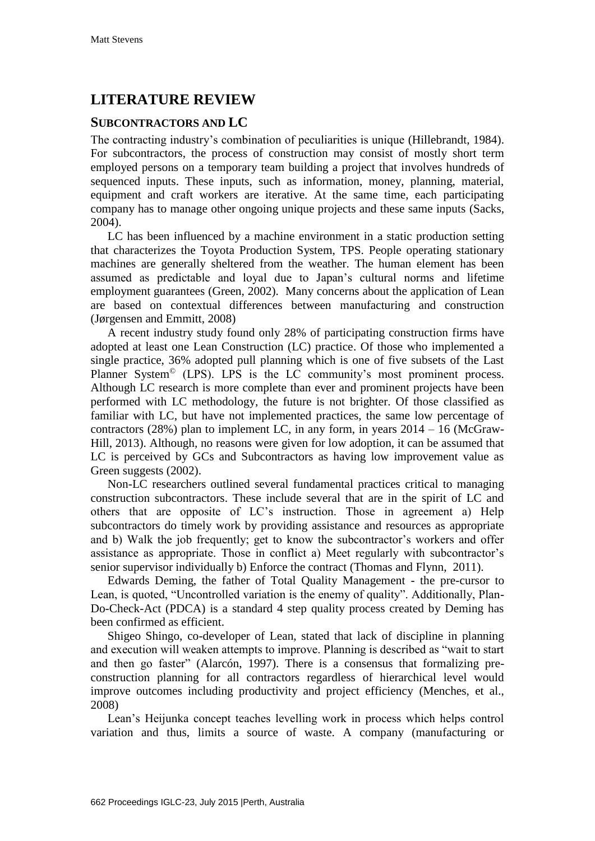# **LITERATURE REVIEW**

## **SUBCONTRACTORS AND LC**

The contracting industry's combination of peculiarities is unique (Hillebrandt, 1984). For subcontractors, the process of construction may consist of mostly short term employed persons on a temporary team building a project that involves hundreds of sequenced inputs. These inputs, such as information, money, planning, material, equipment and craft workers are iterative. At the same time, each participating company has to manage other ongoing unique projects and these same inputs (Sacks, 2004).

LC has been influenced by a machine environment in a static production setting that characterizes the Toyota Production System, TPS. People operating stationary machines are generally sheltered from the weather. The human element has been assumed as predictable and loyal due to Japan's cultural norms and lifetime employment guarantees (Green, 2002). Many concerns about the application of Lean are based on contextual differences between manufacturing and construction (Jørgensen and Emmitt, 2008)

A recent industry study found only 28% of participating construction firms have adopted at least one Lean Construction (LC) practice. Of those who implemented a single practice, 36% adopted pull planning which is one of five subsets of the Last Planner System<sup>©</sup> (LPS). LPS is the LC community's most prominent process. Although LC research is more complete than ever and prominent projects have been performed with LC methodology, the future is not brighter. Of those classified as familiar with LC, but have not implemented practices, the same low percentage of contractors (28%) plan to implement LC, in any form, in years  $2014 - 16$  (McGraw-Hill, 2013). Although, no reasons were given for low adoption, it can be assumed that LC is perceived by GCs and Subcontractors as having low improvement value as Green suggests (2002).

Non-LC researchers outlined several fundamental practices critical to managing construction subcontractors. These include several that are in the spirit of LC and others that are opposite of LC's instruction. Those in agreement a) Help subcontractors do timely work by providing assistance and resources as appropriate and b) Walk the job frequently; get to know the subcontractor's workers and offer assistance as appropriate. Those in conflict a) Meet regularly with subcontractor's senior supervisor individually b) Enforce the contract (Thomas and Flynn, 2011).

Edwards Deming, the father of Total Quality Management - the pre-cursor to Lean, is quoted, "Uncontrolled variation is the enemy of quality". Additionally, Plan-Do-Check-Act (PDCA) is a standard 4 step quality process created by Deming has been confirmed as efficient.

Shigeo Shingo, co-developer of Lean, stated that lack of discipline in planning and execution will weaken attempts to improve. Planning is described as "wait to start and then go faster" (Alarcón, 1997). There is a consensus that formalizing preconstruction planning for all contractors regardless of hierarchical level would improve outcomes including productivity and project efficiency (Menches, et al., 2008)

Lean's Heijunka concept teaches levelling work in process which helps control variation and thus, limits a source of waste. A company (manufacturing or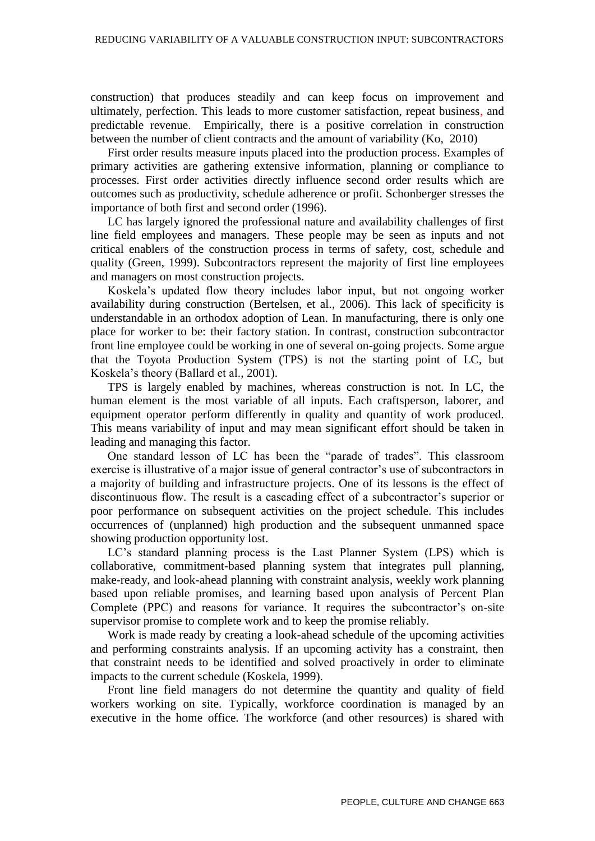construction) that produces steadily and can keep focus on improvement and ultimately, perfection. This leads to more customer satisfaction, repeat business, and predictable revenue. Empirically, there is a positive correlation in construction between the number of client contracts and the amount of variability (Ko, 2010)

First order results measure inputs placed into the production process. Examples of primary activities are gathering extensive information, planning or compliance to processes. First order activities directly influence second order results which are outcomes such as productivity, schedule adherence or profit. Schonberger stresses the importance of both first and second order (1996).

LC has largely ignored the professional nature and availability challenges of first line field employees and managers. These people may be seen as inputs and not critical enablers of the construction process in terms of safety, cost, schedule and quality (Green, 1999). Subcontractors represent the majority of first line employees and managers on most construction projects.

Koskela's updated flow theory includes labor input, but not ongoing worker availability during construction (Bertelsen, et al., 2006). This lack of specificity is understandable in an orthodox adoption of Lean. In manufacturing, there is only one place for worker to be: their factory station. In contrast, construction subcontractor front line employee could be working in one of several on-going projects. Some argue that the Toyota Production System (TPS) is not the starting point of LC, but Koskela's theory (Ballard et al., 2001).

TPS is largely enabled by machines, whereas construction is not. In LC, the human element is the most variable of all inputs. Each craftsperson, laborer, and equipment operator perform differently in quality and quantity of work produced. This means variability of input and may mean significant effort should be taken in leading and managing this factor.

One standard lesson of LC has been the "parade of trades". This classroom exercise is illustrative of a major issue of general contractor's use of subcontractors in a majority of building and infrastructure projects. One of its lessons is the effect of discontinuous flow. The result is a cascading effect of a subcontractor's superior or poor performance on subsequent activities on the project schedule. This includes occurrences of (unplanned) high production and the subsequent unmanned space showing production opportunity lost.

LC's standard planning process is the Last Planner System (LPS) which is collaborative, commitment-based planning system that integrates pull planning, make-ready, and look-ahead planning with constraint analysis, weekly work planning based upon reliable promises, and learning based upon analysis of Percent Plan Complete (PPC) and reasons for variance. It requires the subcontractor's on-site supervisor promise to complete work and to keep the promise reliably.

Work is made ready by creating a look-ahead schedule of the upcoming activities and performing constraints analysis. If an upcoming activity has a constraint, then that constraint needs to be identified and solved proactively in order to eliminate impacts to the current schedule (Koskela, 1999).

Front line field managers do not determine the quantity and quality of field workers working on site. Typically, workforce coordination is managed by an executive in the home office. The workforce (and other resources) is shared with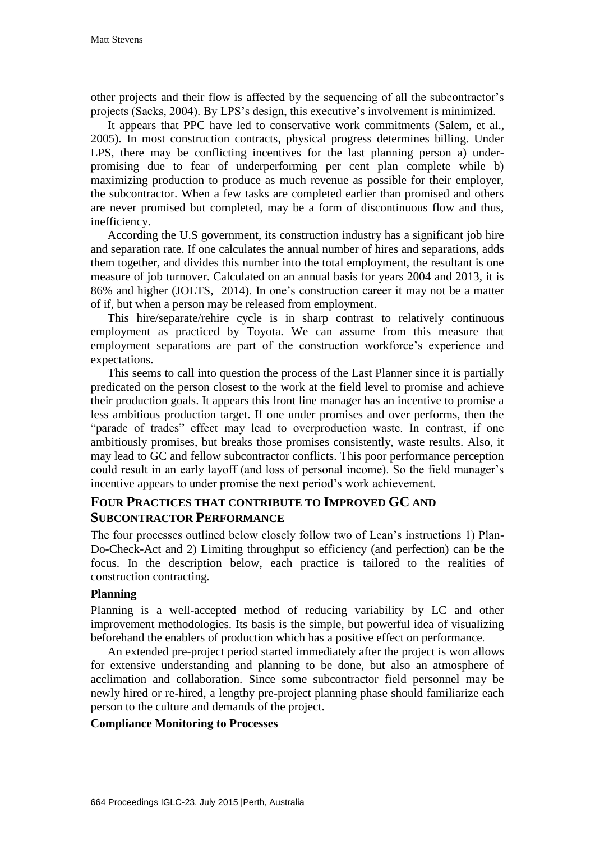other projects and their flow is affected by the sequencing of all the subcontractor's projects (Sacks, 2004). By LPS's design, this executive's involvement is minimized.

It appears that PPC have led to conservative work commitments (Salem, et al., 2005). In most construction contracts, physical progress determines billing. Under LPS, there may be conflicting incentives for the last planning person a) underpromising due to fear of underperforming per cent plan complete while b) maximizing production to produce as much revenue as possible for their employer, the subcontractor. When a few tasks are completed earlier than promised and others are never promised but completed, may be a form of discontinuous flow and thus, inefficiency.

According the U.S government, its construction industry has a significant job hire and separation rate. If one calculates the annual number of hires and separations, adds them together, and divides this number into the total employment, the resultant is one measure of job turnover. Calculated on an annual basis for years 2004 and 2013, it is 86% and higher (JOLTS, 2014). In one's construction career it may not be a matter of if, but when a person may be released from employment.

This hire/separate/rehire cycle is in sharp contrast to relatively continuous employment as practiced by Toyota. We can assume from this measure that employment separations are part of the construction workforce's experience and expectations.

This seems to call into question the process of the Last Planner since it is partially predicated on the person closest to the work at the field level to promise and achieve their production goals. It appears this front line manager has an incentive to promise a less ambitious production target. If one under promises and over performs, then the "parade of trades" effect may lead to overproduction waste. In contrast, if one ambitiously promises, but breaks those promises consistently, waste results. Also, it may lead to GC and fellow subcontractor conflicts. This poor performance perception could result in an early layoff (and loss of personal income). So the field manager's incentive appears to under promise the next period's work achievement.

# **FOUR PRACTICES THAT CONTRIBUTE TO IMPROVED GC AND SUBCONTRACTOR PERFORMANCE**

The four processes outlined below closely follow two of Lean's instructions 1) Plan-Do-Check-Act and 2) Limiting throughput so efficiency (and perfection) can be the focus. In the description below, each practice is tailored to the realities of construction contracting.

#### **Planning**

Planning is a well-accepted method of reducing variability by LC and other improvement methodologies. Its basis is the simple, but powerful idea of visualizing beforehand the enablers of production which has a positive effect on performance.

An extended pre-project period started immediately after the project is won allows for extensive understanding and planning to be done, but also an atmosphere of acclimation and collaboration. Since some subcontractor field personnel may be newly hired or re-hired, a lengthy pre-project planning phase should familiarize each person to the culture and demands of the project.

#### **Compliance Monitoring to Processes**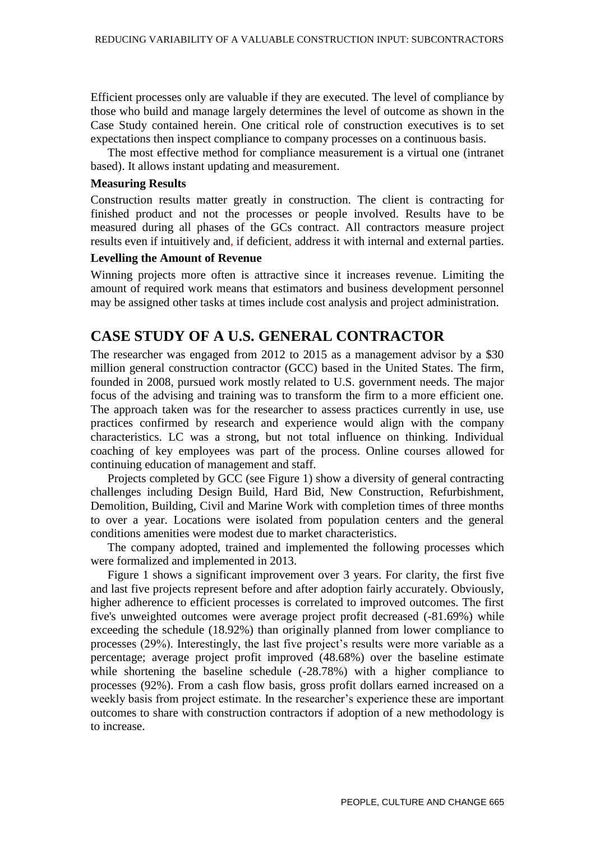Efficient processes only are valuable if they are executed. The level of compliance by those who build and manage largely determines the level of outcome as shown in the Case Study contained herein. One critical role of construction executives is to set expectations then inspect compliance to company processes on a continuous basis.

The most effective method for compliance measurement is a virtual one (intranet based). It allows instant updating and measurement.

#### **Measuring Results**

Construction results matter greatly in construction. The client is contracting for finished product and not the processes or people involved. Results have to be measured during all phases of the GCs contract. All contractors measure project results even if intuitively and, if deficient, address it with internal and external parties.

#### **Levelling the Amount of Revenue**

Winning projects more often is attractive since it increases revenue. Limiting the amount of required work means that estimators and business development personnel may be assigned other tasks at times include cost analysis and project administration.

### **CASE STUDY OF A U.S. GENERAL CONTRACTOR**

The researcher was engaged from 2012 to 2015 as a management advisor by a \$30 million general construction contractor (GCC) based in the United States. The firm, founded in 2008, pursued work mostly related to U.S. government needs. The major focus of the advising and training was to transform the firm to a more efficient one. The approach taken was for the researcher to assess practices currently in use, use practices confirmed by research and experience would align with the company characteristics. LC was a strong, but not total influence on thinking. Individual coaching of key employees was part of the process. Online courses allowed for continuing education of management and staff.

Projects completed by GCC (see Figure 1) show a diversity of general contracting challenges including Design Build, Hard Bid, New Construction, Refurbishment, Demolition, Building, Civil and Marine Work with completion times of three months to over a year. Locations were isolated from population centers and the general conditions amenities were modest due to market characteristics.

The company adopted, trained and implemented the following processes which were formalized and implemented in 2013.

Figure 1 shows a significant improvement over 3 years. For clarity, the first five and last five projects represent before and after adoption fairly accurately. Obviously, higher adherence to efficient processes is correlated to improved outcomes. The first five's unweighted outcomes were average project profit decreased (-81.69%) while exceeding the schedule (18.92%) than originally planned from lower compliance to processes (29%). Interestingly, the last five project's results were more variable as a percentage; average project profit improved (48.68%) over the baseline estimate while shortening the baseline schedule (-28.78%) with a higher compliance to processes (92%). From a cash flow basis, gross profit dollars earned increased on a weekly basis from project estimate. In the researcher's experience these are important outcomes to share with construction contractors if adoption of a new methodology is to increase.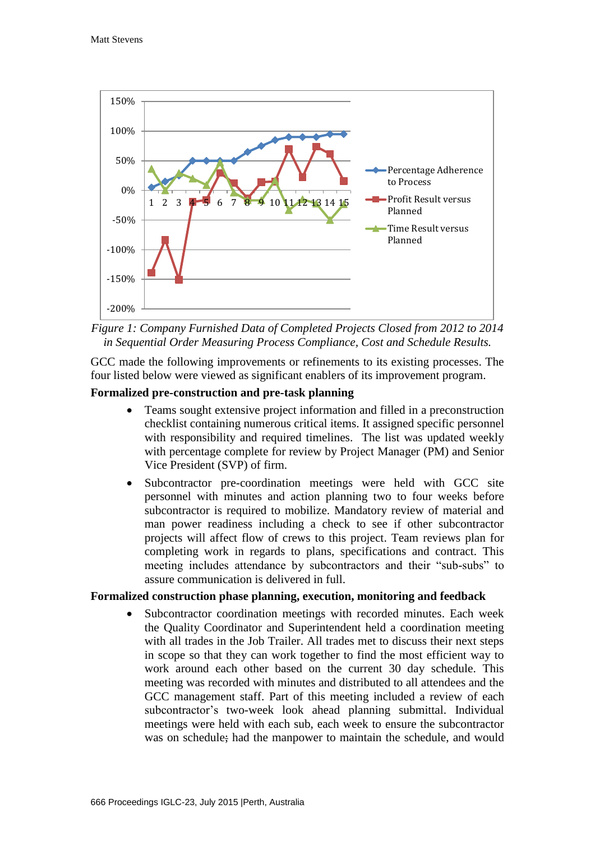

*Figure 1: Company Furnished Data of Completed Projects Closed from 2012 to 2014 in Sequential Order Measuring Process Compliance, Cost and Schedule Results.*

GCC made the following improvements or refinements to its existing processes. The four listed below were viewed as significant enablers of its improvement program.

#### **Formalized pre-construction and pre-task planning**

- Teams sought extensive project information and filled in a preconstruction checklist containing numerous critical items. It assigned specific personnel with responsibility and required timelines. The list was updated weekly with percentage complete for review by Project Manager (PM) and Senior Vice President (SVP) of firm.
- Subcontractor pre-coordination meetings were held with GCC site personnel with minutes and action planning two to four weeks before subcontractor is required to mobilize. Mandatory review of material and man power readiness including a check to see if other subcontractor projects will affect flow of crews to this project. Team reviews plan for completing work in regards to plans, specifications and contract. This meeting includes attendance by subcontractors and their "sub-subs" to assure communication is delivered in full.

#### **Formalized construction phase planning, execution, monitoring and feedback**

 Subcontractor coordination meetings with recorded minutes. Each week the Quality Coordinator and Superintendent held a coordination meeting with all trades in the Job Trailer. All trades met to discuss their next steps in scope so that they can work together to find the most efficient way to work around each other based on the current 30 day schedule. This meeting was recorded with minutes and distributed to all attendees and the GCC management staff. Part of this meeting included a review of each subcontractor's two-week look ahead planning submittal. Individual meetings were held with each sub, each week to ensure the subcontractor was on schedule; had the manpower to maintain the schedule, and would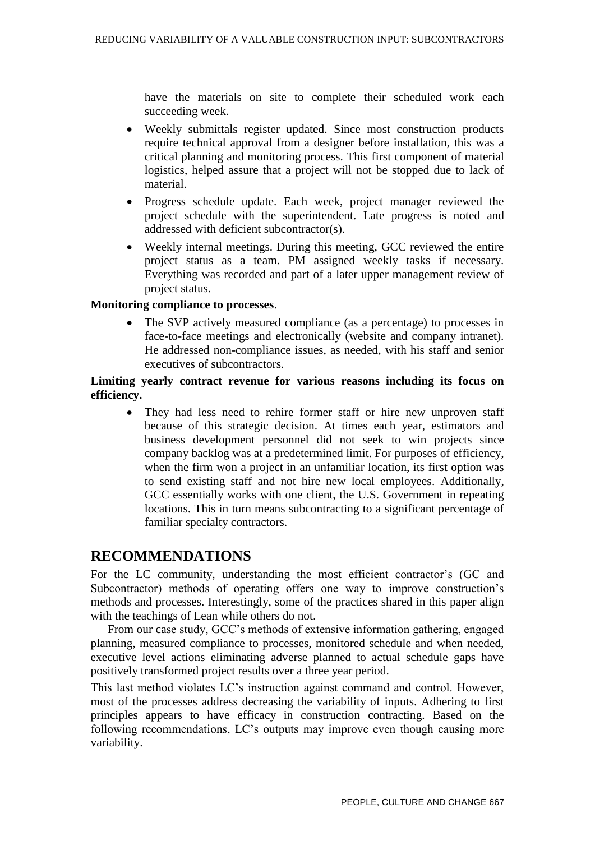have the materials on site to complete their scheduled work each succeeding week.

- Weekly submittals register updated. Since most construction products require technical approval from a designer before installation, this was a critical planning and monitoring process. This first component of material logistics, helped assure that a project will not be stopped due to lack of material.
- Progress schedule update. Each week, project manager reviewed the project schedule with the superintendent. Late progress is noted and addressed with deficient subcontractor(s).
- Weekly internal meetings. During this meeting, GCC reviewed the entire project status as a team. PM assigned weekly tasks if necessary. Everything was recorded and part of a later upper management review of project status.

#### **Monitoring compliance to processes**.

 The SVP actively measured compliance (as a percentage) to processes in face-to-face meetings and electronically (website and company intranet). He addressed non-compliance issues, as needed, with his staff and senior executives of subcontractors.

#### **Limiting yearly contract revenue for various reasons including its focus on efficiency.**

 They had less need to rehire former staff or hire new unproven staff because of this strategic decision. At times each year, estimators and business development personnel did not seek to win projects since company backlog was at a predetermined limit. For purposes of efficiency, when the firm won a project in an unfamiliar location, its first option was to send existing staff and not hire new local employees. Additionally, GCC essentially works with one client, the U.S. Government in repeating locations. This in turn means subcontracting to a significant percentage of familiar specialty contractors.

# **RECOMMENDATIONS**

For the LC community, understanding the most efficient contractor's (GC and Subcontractor) methods of operating offers one way to improve construction's methods and processes. Interestingly, some of the practices shared in this paper align with the teachings of Lean while others do not.

From our case study, GCC's methods of extensive information gathering, engaged planning, measured compliance to processes, monitored schedule and when needed, executive level actions eliminating adverse planned to actual schedule gaps have positively transformed project results over a three year period.

This last method violates LC's instruction against command and control. However, most of the processes address decreasing the variability of inputs. Adhering to first principles appears to have efficacy in construction contracting. Based on the following recommendations, LC's outputs may improve even though causing more variability.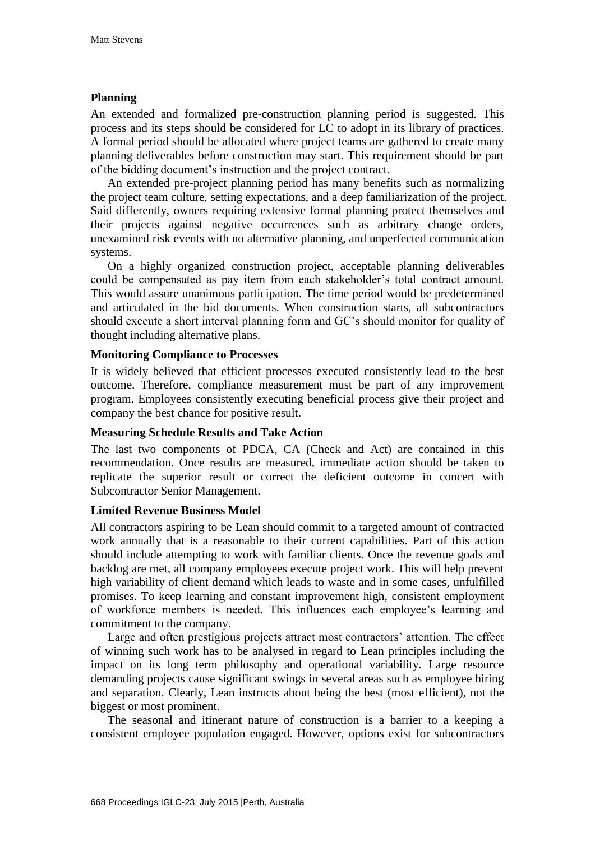#### **Planning**

An extended and formalized pre-construction planning period is suggested. This process and its steps should be considered for LC to adopt in its library of practices. A formal period should be allocated where project teams are gathered to create many planning deliverables before construction may start. This requirement should be part of the bidding document's instruction and the project contract.

An extended pre-project planning period has many benefits such as normalizing the project team culture, setting expectations, and a deep familiarization of the project. Said differently, owners requiring extensive formal planning protect themselves and their projects against negative occurrences such as arbitrary change orders, unexamined risk events with no alternative planning, and unperfected communication systems.

On a highly organized construction project, acceptable planning deliverables could be compensated as pay item from each stakeholder's total contract amount. This would assure unanimous participation. The time period would be predetermined and articulated in the bid documents. When construction starts, all subcontractors should execute a short interval planning form and GC's should monitor for quality of thought including alternative plans.

#### **Monitoring Compliance to Processes**

It is widely believed that efficient processes executed consistently lead to the best outcome. Therefore, compliance measurement must be part of any improvement program. Employees consistently executing beneficial process give their project and company the best chance for positive result.

#### **Measuring Schedule Results and Take Action**

The last two components of PDCA, CA (Check and Act) are contained in this recommendation. Once results are measured, immediate action should be taken to replicate the superior result or correct the deficient outcome in concert with Subcontractor Senior Management.

#### **Limited Revenue Business Model**

All contractors aspiring to be Lean should commit to a targeted amount of contracted work annually that is a reasonable to their current capabilities. Part of this action should include attempting to work with familiar clients. Once the revenue goals and backlog are met, all company employees execute project work. This will help prevent high variability of client demand which leads to waste and in some cases, unfulfilled promises. To keep learning and constant improvement high, consistent employment of workforce members is needed. This influences each employee's learning and commitment to the company.

Large and often prestigious projects attract most contractors' attention. The effect of winning such work has to be analysed in regard to Lean principles including the impact on its long term philosophy and operational variability. Large resource demanding projects cause significant swings in several areas such as employee hiring and separation. Clearly, Lean instructs about being the best (most efficient), not the biggest or most prominent.

The seasonal and itinerant nature of construction is a barrier to a keeping a consistent employee population engaged. However, options exist for subcontractors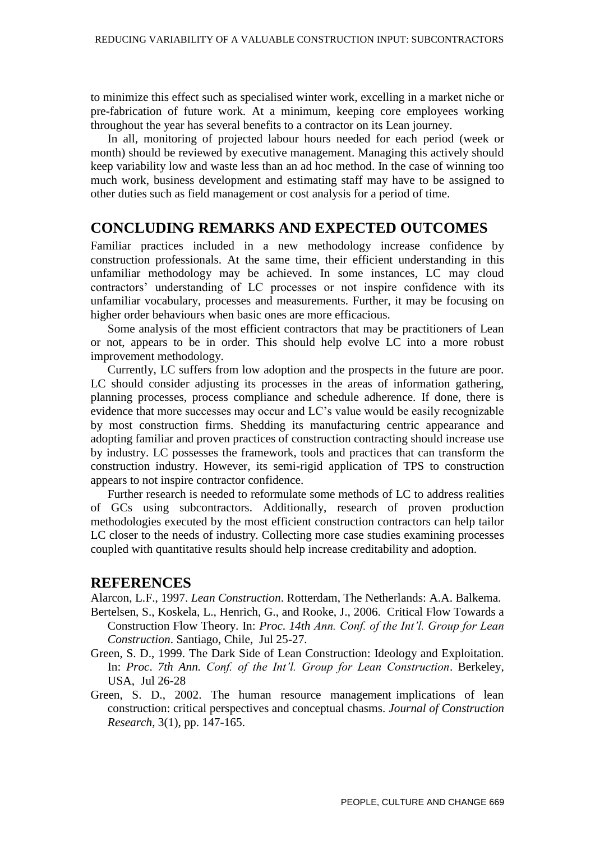to minimize this effect such as specialised winter work, excelling in a market niche or pre-fabrication of future work. At a minimum, keeping core employees working throughout the year has several benefits to a contractor on its Lean journey.

In all, monitoring of projected labour hours needed for each period (week or month) should be reviewed by executive management. Managing this actively should keep variability low and waste less than an ad hoc method. In the case of winning too much work, business development and estimating staff may have to be assigned to other duties such as field management or cost analysis for a period of time.

### **CONCLUDING REMARKS AND EXPECTED OUTCOMES**

Familiar practices included in a new methodology increase confidence by construction professionals. At the same time, their efficient understanding in this unfamiliar methodology may be achieved. In some instances, LC may cloud contractors' understanding of LC processes or not inspire confidence with its unfamiliar vocabulary, processes and measurements. Further, it may be focusing on higher order behaviours when basic ones are more efficacious.

Some analysis of the most efficient contractors that may be practitioners of Lean or not, appears to be in order. This should help evolve LC into a more robust improvement methodology.

Currently, LC suffers from low adoption and the prospects in the future are poor. LC should consider adjusting its processes in the areas of information gathering, planning processes, process compliance and schedule adherence. If done, there is evidence that more successes may occur and LC's value would be easily recognizable by most construction firms. Shedding its manufacturing centric appearance and adopting familiar and proven practices of construction contracting should increase use by industry. LC possesses the framework, tools and practices that can transform the construction industry. However, its semi-rigid application of TPS to construction appears to not inspire contractor confidence.

Further research is needed to reformulate some methods of LC to address realities of GCs using subcontractors. Additionally, research of proven production methodologies executed by the most efficient construction contractors can help tailor LC closer to the needs of industry. Collecting more case studies examining processes coupled with quantitative results should help increase creditability and adoption.

#### **REFERENCES**

Alarcon, L.F., 1997. *Lean Construction*. Rotterdam, The Netherlands: A.A. Balkema.

- Bertelsen, S., Koskela, L., Henrich, G., and Rooke, J., 2006. Critical Flow Towards a Construction Flow Theory. In: *Proc*. *14th Ann. Conf. of the Int'l. Group for Lean Construction*. Santiago, Chile, Jul 25-27.
- Green, S. D., 1999. The Dark Side of Lean Construction: Ideology and Exploitation. In: *Proc*. *7th Ann. Conf. of the Int'l. Group for Lean Construction*. Berkeley, USA, Jul 26-28
- Green, S. D., 2002. The human resource management implications of lean construction: critical perspectives and conceptual chasms. *Journal of Construction Research*, 3(1), pp. 147-165.